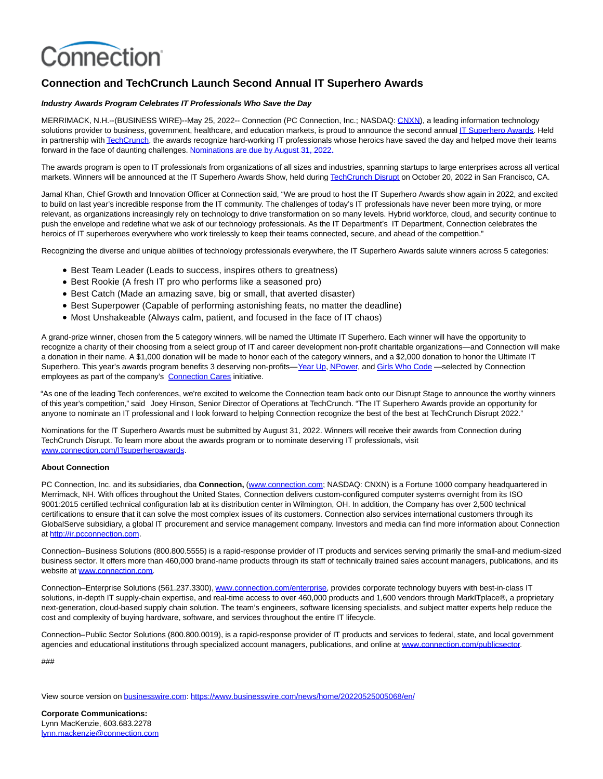

## **Connection and TechCrunch Launch Second Annual IT Superhero Awards**

## **Industry Awards Program Celebrates IT Professionals Who Save the Day**

MERRIMACK, N.H.--(BUSINESS WIRE)--May 25, 2022-- Connection (PC Connection, Inc.; NASDAQ: [CNXN\),](https://cts.businesswire.com/ct/CT?id=smartlink&url=https%3A%2F%2Fir.connection.com%2F&esheet=52728535&newsitemid=20220525005068&lan=en-US&anchor=CNXN&index=1&md5=a2951e8985bab4a68454a1b2ea7c0f56) a leading information technology solutions provider to business, government, healthcare, and education markets, is proud to announce the second annual [IT Superhero Awards.](https://cts.businesswire.com/ct/CT?id=smartlink&url=http%3A%2F%2Fwww.connection.com%2FITsuperheroawards&esheet=52728535&newsitemid=20220525005068&lan=en-US&anchor=IT+Superhero+Awards&index=2&md5=c9369a2f21f0224bbea211f503ee0f6e) Held in partnership wit[h TechCrunch,](https://cts.businesswire.com/ct/CT?id=smartlink&url=https%3A%2F%2Ftechcrunch.com%2F&esheet=52728535&newsitemid=20220525005068&lan=en-US&anchor=TechCrunch&index=3&md5=9d912e0c486a454fb4e9d435f8cbf5b3) the awards recognize hard-working IT professionals whose heroics have saved the day and helped move their teams forward in the face of daunting challenges[. Nominations are due by August 31, 2022.](https://cts.businesswire.com/ct/CT?id=smartlink&url=http%3A%2F%2Fwww.connection.com%2FITsuperheroawards&esheet=52728535&newsitemid=20220525005068&lan=en-US&anchor=Nominations+are+due+by+August+31%2C+2022.&index=4&md5=f3e250b4db5cb540e1a18ad297fbbdd8)

The awards program is open to IT professionals from organizations of all sizes and industries, spanning startups to large enterprises across all vertical markets. Winners will be announced at the IT Superhero Awards Show, held during [TechCrunch Disrupt o](https://cts.businesswire.com/ct/CT?id=smartlink&url=https%3A%2F%2Ftechcrunch.com%2Fevents%2Ftc-disrupt-2022%2F&esheet=52728535&newsitemid=20220525005068&lan=en-US&anchor=TechCrunch+Disrupt&index=5&md5=0102db506fcc8e122fe7e982f71ec099)n October 20, 2022 in San Francisco, CA.

Jamal Khan, Chief Growth and Innovation Officer at Connection said, "We are proud to host the IT Superhero Awards show again in 2022, and excited to build on last year's incredible response from the IT community. The challenges of today's IT professionals have never been more trying, or more relevant, as organizations increasingly rely on technology to drive transformation on so many levels. Hybrid workforce, cloud, and security continue to push the envelope and redefine what we ask of our technology professionals. As the IT Department's IT Department, Connection celebrates the heroics of IT superheroes everywhere who work tirelessly to keep their teams connected, secure, and ahead of the competition."

Recognizing the diverse and unique abilities of technology professionals everywhere, the IT Superhero Awards salute winners across 5 categories:

- Best Team Leader (Leads to success, inspires others to greatness)
- Best Rookie (A fresh IT pro who performs like a seasoned pro)
- Best Catch (Made an amazing save, big or small, that averted disaster)
- Best Superpower (Capable of performing astonishing feats, no matter the deadline)
- Most Unshakeable (Always calm, patient, and focused in the face of IT chaos)

A grand-prize winner, chosen from the 5 category winners, will be named the Ultimate IT Superhero. Each winner will have the opportunity to recognize a charity of their choosing from a select group of IT and career development non-profit charitable organizations—and Connection will make a donation in their name. A \$1,000 donation will be made to honor each of the category winners, and a \$2,000 donation to honor the Ultimate IT Superhero. This year's awards program benefits 3 deserving non-profits[—Year Up,](https://cts.businesswire.com/ct/CT?id=smartlink&url=https%3A%2F%2Fwww.yearup.org%2Fabout&esheet=52728535&newsitemid=20220525005068&lan=en-US&anchor=Year+Up&index=6&md5=f8f9c6ea28463c650ef475bc0df96868) [NPower,](https://cts.businesswire.com/ct/CT?id=smartlink&url=https%3A%2F%2Fwww.npower.org%2Fabout%2F&esheet=52728535&newsitemid=20220525005068&lan=en-US&anchor=NPower&index=7&md5=52a53995fec76e35120d78caa91c042c) and [Girls Who Code](https://cts.businesswire.com/ct/CT?id=smartlink&url=https%3A%2F%2Fgirlswhocode.com%2Fabout-us&esheet=52728535&newsitemid=20220525005068&lan=en-US&anchor=Girls+Who+Code&index=8&md5=0d685d2a2e18a9440d9bbba32d50acbe) -selected by Connection employees as part of the company's [Connection Cares i](https://cts.businesswire.com/ct/CT?id=smartlink&url=https%3A%2F%2Fwww.connection.com%2Fcontent%2Fabout%2Fconnection-cares&esheet=52728535&newsitemid=20220525005068&lan=en-US&anchor=Connection+Cares&index=9&md5=eb3b65b44d50cafcb5b8f2d9a5e133da)nitiative.

"As one of the leading Tech conferences, we're excited to welcome the Connection team back onto our Disrupt Stage to announce the worthy winners of this year's competition," said Joey Hinson, Senior Director of Operations at TechCrunch. "The IT Superhero Awards provide an opportunity for anyone to nominate an IT professional and I look forward to helping Connection recognize the best of the best at TechCrunch Disrupt 2022."

Nominations for the IT Superhero Awards must be submitted by August 31, 2022. Winners will receive their awards from Connection during TechCrunch Disrupt. To learn more about the awards program or to nominate deserving IT professionals, visit [www.connection.com/ITsuperheroawards.](https://cts.businesswire.com/ct/CT?id=smartlink&url=http%3A%2F%2Fwww.connection.com%2FITsuperheroawards&esheet=52728535&newsitemid=20220525005068&lan=en-US&anchor=www.connection.com%2FITsuperheroawards&index=10&md5=dc85ebcc75c37942b53da610f3187cfc)

## **About Connection**

PC Connection, Inc. and its subsidiaries, dba **Connection,** [\(www.connection.com;](https://cts.businesswire.com/ct/CT?id=smartlink&url=http%3A%2F%2Fwww.connection.com&esheet=52728535&newsitemid=20220525005068&lan=en-US&anchor=www.connection.com&index=11&md5=4079749e364d80da5f6e670834fe4a7d) NASDAQ: CNXN) is a Fortune 1000 company headquartered in Merrimack, NH. With offices throughout the United States, Connection delivers custom-configured computer systems overnight from its ISO 9001:2015 certified technical configuration lab at its distribution center in Wilmington, OH. In addition, the Company has over 2,500 technical certifications to ensure that it can solve the most complex issues of its customers. Connection also services international customers through its GlobalServe subsidiary, a global IT procurement and service management company. Investors and media can find more information about Connection at [http://ir.pcconnection.com.](https://cts.businesswire.com/ct/CT?id=smartlink&url=http%3A%2F%2Fir.pcconnection.com&esheet=52728535&newsitemid=20220525005068&lan=en-US&anchor=http%3A%2F%2Fir.pcconnection.com&index=12&md5=a27450d7e9b6514ebe800411d9d7bc18)

Connection–Business Solutions (800.800.5555) is a rapid-response provider of IT products and services serving primarily the small-and medium-sized business sector. It offers more than 460,000 brand-name products through its staff of technically trained sales account managers, publications, and its website at [www.connection.com.](https://cts.businesswire.com/ct/CT?id=smartlink&url=http%3A%2F%2Fwww.connection.com&esheet=52728535&newsitemid=20220525005068&lan=en-US&anchor=www.connection.com&index=13&md5=3b3336fd5f050a584fa7383058e147ed)

Connection–Enterprise Solutions (561.237.3300)[, www.connection.com/enterprise,](https://cts.businesswire.com/ct/CT?id=smartlink&url=http%3A%2F%2Fwww.connection.com%2Fenterprise&esheet=52728535&newsitemid=20220525005068&lan=en-US&anchor=www.connection.com%2Fenterprise&index=14&md5=b9476cb263ed1318b123b9ca120563d8) provides corporate technology buyers with best-in-class IT solutions, in-depth IT supply-chain expertise, and real-time access to over 460,000 products and 1,600 vendors through MarkITplace®, a proprietary next-generation, cloud-based supply chain solution. The team's engineers, software licensing specialists, and subject matter experts help reduce the cost and complexity of buying hardware, software, and services throughout the entire IT lifecycle.

Connection–Public Sector Solutions (800.800.0019), is a rapid-response provider of IT products and services to federal, state, and local government agencies and educational institutions through specialized account managers, publications, and online a[t www.connection.com/publicsector.](https://cts.businesswire.com/ct/CT?id=smartlink&url=http%3A%2F%2Fwww.connection.com%2Fpublicsector&esheet=52728535&newsitemid=20220525005068&lan=en-US&anchor=www.connection.com%2Fpublicsector&index=15&md5=4acfdf7be1583a1ef011f54b0f5eb47c)

###

View source version on [businesswire.com:](http://businesswire.com/)<https://www.businesswire.com/news/home/20220525005068/en/>

**Corporate Communications:** Lynn MacKenzie, 603.683.2278 [lynn.mackenzie@connection.com](mailto:lynn.mackenzie@connection.com)